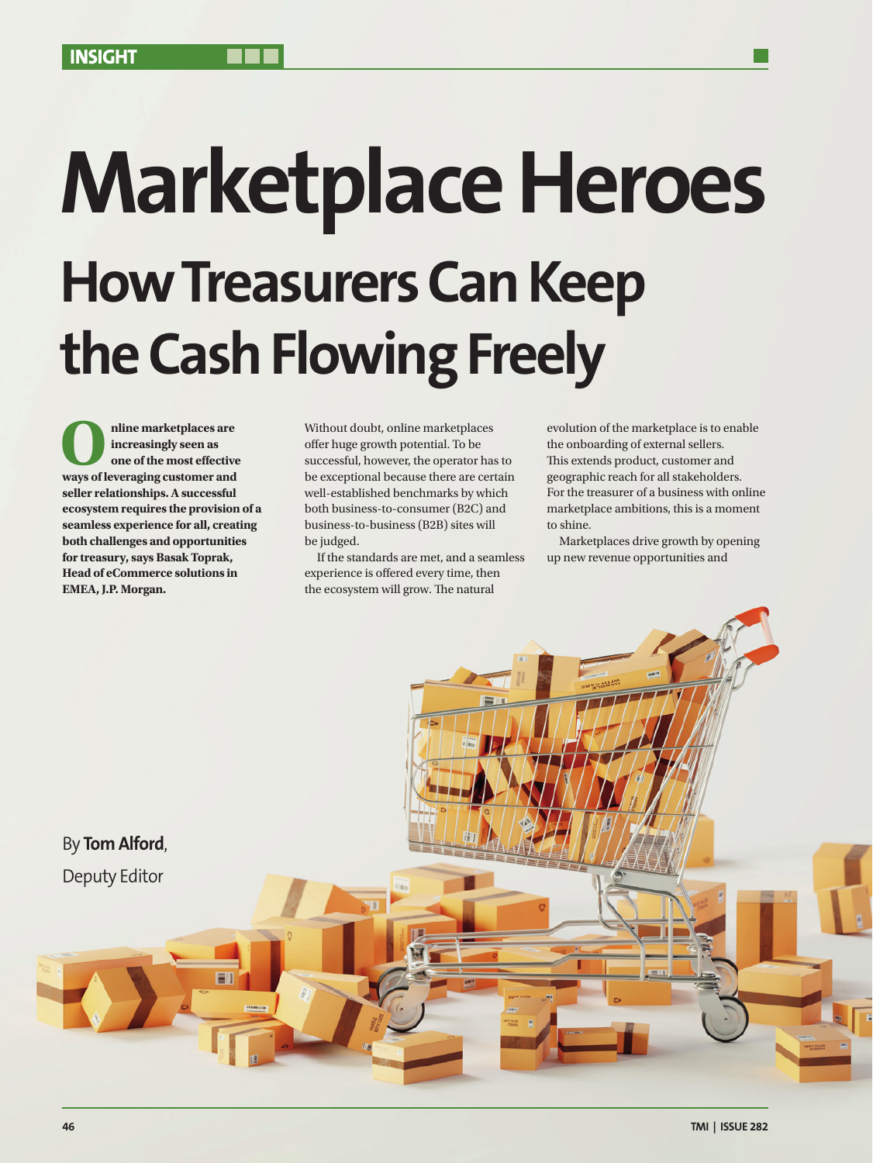# **Marketplace Heroes How Treasurers Can Keep the Cash Flowing Freely**

**O**<br> **ways of leveraging customer and<br>
<b>ways of leveraging customer and increasingly seen as one of the most effective seller relationships. A successful ecosystem requires the provision of a seamless experience for all, creating both challenges and opportunities for treasury, says Basak Toprak, Head of eCommerce solutions in EMEA, J.P. Morgan.**

Without doubt, online marketplaces offer huge growth potential. To be successful, however, the operator has to be exceptional because there are certain well-established benchmarks by which both business-to-consumer (B2C) and business-to-business (B2B) sites will be judged.

If the standards are met, and a seamless experience is offered every time, then the ecosystem will grow. The natural

evolution of the marketplace is to enable the onboarding of external sellers. This extends product, customer and geographic reach for all stakeholders. For the treasurer of a business with online marketplace ambitions, this is a moment to shine.

Marketplaces drive growth by opening up new revenue opportunities and

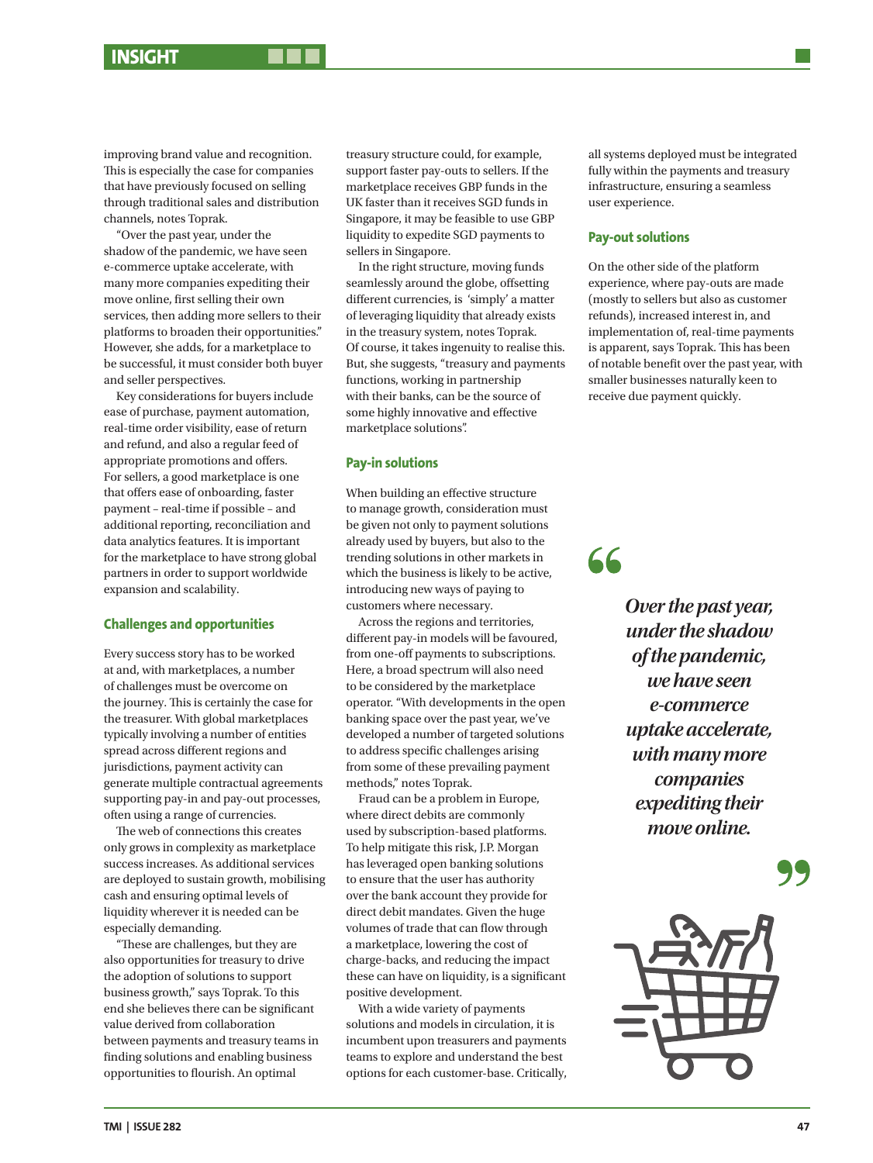improving brand value and recognition. This is especially the case for companies that have previously focused on selling through traditional sales and distribution channels, notes Toprak.

"Over the past year, under the shadow of the pandemic, we have seen e-commerce uptake accelerate, with many more companies expediting their move online, first selling their own services, then adding more sellers to their platforms to broaden their opportunities." However, she adds, for a marketplace to be successful, it must consider both buyer and seller perspectives.

Key considerations for buyers include ease of purchase, payment automation, real-time order visibility, ease of return and refund, and also a regular feed of appropriate promotions and offers. For sellers, a good marketplace is one that offers ease of onboarding, faster payment – real-time if possible – and additional reporting, reconciliation and data analytics features. It is important for the marketplace to have strong global partners in order to support worldwide expansion and scalability.

## **Challenges and opportunities**

Every success story has to be worked at and, with marketplaces, a number of challenges must be overcome on the journey. This is certainly the case for the treasurer. With global marketplaces typically involving a number of entities spread across different regions and jurisdictions, payment activity can generate multiple contractual agreements supporting pay-in and pay-out processes, often using a range of currencies.

The web of connections this creates only grows in complexity as marketplace success increases. As additional services are deployed to sustain growth, mobilising cash and ensuring optimal levels of liquidity wherever it is needed can be especially demanding.

"These are challenges, but they are also opportunities for treasury to drive the adoption of solutions to support business growth," says Toprak. To this end she believes there can be significant value derived from collaboration between payments and treasury teams in finding solutions and enabling business opportunities to flourish. An optimal

treasury structure could, for example, support faster pay-outs to sellers. If the marketplace receives GBP funds in the UK faster than it receives SGD funds in Singapore, it may be feasible to use GBP liquidity to expedite SGD payments to sellers in Singapore.

In the right structure, moving funds seamlessly around the globe, offsetting different currencies, is 'simply' a matter of leveraging liquidity that already exists in the treasury system, notes Toprak. Of course, it takes ingenuity to realise this. But, she suggests, "treasury and payments functions, working in partnership with their banks, can be the source of some highly innovative and effective marketplace solutions".

### **Pay-in solutions**

When building an effective structure to manage growth, consideration must be given not only to payment solutions already used by buyers, but also to the trending solutions in other markets in which the business is likely to be active, introducing new ways of paying to customers where necessary.

Across the regions and territories, different pay-in models will be favoured, from one-off payments to subscriptions. Here, a broad spectrum will also need to be considered by the marketplace operator. "With developments in the open banking space over the past year, we've developed a number of targeted solutions to address specific challenges arising from some of these prevailing payment methods," notes Toprak.

Fraud can be a problem in Europe, where direct debits are commonly used by subscription-based platforms. To help mitigate this risk, J.P. Morgan has leveraged open banking solutions to ensure that the user has authority over the bank account they provide for direct debit mandates. Given the huge volumes of trade that can flow through a marketplace, lowering the cost of charge-backs, and reducing the impact these can have on liquidity, is a significant positive development.

With a wide variety of payments solutions and models in circulation, it is incumbent upon treasurers and payments teams to explore and understand the best options for each customer-base. Critically,

all systems deployed must be integrated fully within the payments and treasury infrastructure, ensuring a seamless user experience.

#### **Pay-out solutions**

66

On the other side of the platform experience, where pay-outs are made (mostly to sellers but also as customer refunds), increased interest in, and implementation of, real-time payments is apparent, says Toprak. This has been of notable benefit over the past year, with smaller businesses naturally keen to receive due payment quickly.

> *Over the past year, under the shadow of the pandemic, we have seen e-commerce uptake accelerate, with many more companies expediting their*

> > *move online.*